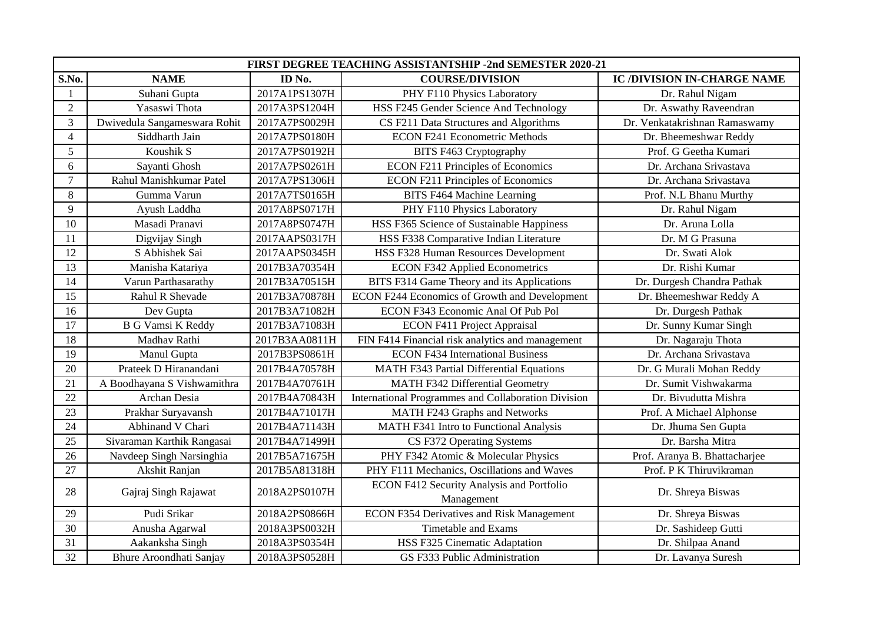| FIRST DEGREE TEACHING ASSISTANTSHIP -2nd SEMESTER 2020-21 |                                |               |                                                         |                                    |  |  |
|-----------------------------------------------------------|--------------------------------|---------------|---------------------------------------------------------|------------------------------------|--|--|
| S.No.                                                     | <b>NAME</b>                    | ID No.        | <b>COURSE/DIVISION</b>                                  | <b>IC /DIVISION IN-CHARGE NAME</b> |  |  |
|                                                           | Suhani Gupta                   | 2017A1PS1307H | PHY F110 Physics Laboratory                             | Dr. Rahul Nigam                    |  |  |
| $\overline{2}$                                            | Yasaswi Thota                  | 2017A3PS1204H | HSS F245 Gender Science And Technology                  | Dr. Aswathy Raveendran             |  |  |
| 3                                                         | Dwivedula Sangameswara Rohit   | 2017A7PS0029H | CS F211 Data Structures and Algorithms                  | Dr. Venkatakrishnan Ramaswamy      |  |  |
| $\overline{4}$                                            | Siddharth Jain                 | 2017A7PS0180H | <b>ECON F241 Econometric Methods</b>                    | Dr. Bheemeshwar Reddy              |  |  |
| 5                                                         | Koushik S                      | 2017A7PS0192H | BITS F463 Cryptography                                  | Prof. G Geetha Kumari              |  |  |
| 6                                                         | Sayanti Ghosh                  | 2017A7PS0261H | <b>ECON F211 Principles of Economics</b>                | Dr. Archana Srivastava             |  |  |
| $\overline{7}$                                            | Rahul Manishkumar Patel        | 2017A7PS1306H | <b>ECON F211 Principles of Economics</b>                | Dr. Archana Srivastava             |  |  |
| 8                                                         | Gumma Varun                    | 2017A7TS0165H | <b>BITS F464 Machine Learning</b>                       | Prof. N.L Bhanu Murthy             |  |  |
| 9                                                         | Ayush Laddha                   | 2017A8PS0717H | PHY F110 Physics Laboratory                             | Dr. Rahul Nigam                    |  |  |
| 10                                                        | Masadi Pranavi                 | 2017A8PS0747H | HSS F365 Science of Sustainable Happiness               | Dr. Aruna Lolla                    |  |  |
| 11                                                        | Digvijay Singh                 | 2017AAPS0317H | HSS F338 Comparative Indian Literature                  | Dr. M G Prasuna                    |  |  |
| 12                                                        | S Abhishek Sai                 | 2017AAPS0345H | HSS F328 Human Resources Development                    | Dr. Swati Alok                     |  |  |
| 13                                                        | Manisha Katariya               | 2017B3A70354H | <b>ECON F342 Applied Econometrics</b>                   | Dr. Rishi Kumar                    |  |  |
| 14                                                        | Varun Parthasarathy            | 2017B3A70515H | BITS F314 Game Theory and its Applications              | Dr. Durgesh Chandra Pathak         |  |  |
| 15                                                        | Rahul R Shevade                | 2017B3A70878H | ECON F244 Economics of Growth and Development           | Dr. Bheemeshwar Reddy A            |  |  |
| 16                                                        | Dev Gupta                      | 2017B3A71082H | ECON F343 Economic Anal Of Pub Pol                      | Dr. Durgesh Pathak                 |  |  |
| $\overline{17}$                                           | <b>B G Vamsi K Reddy</b>       | 2017B3A71083H | <b>ECON F411 Project Appraisal</b>                      | Dr. Sunny Kumar Singh              |  |  |
| 18                                                        | Madhav Rathi                   | 2017B3AA0811H | FIN F414 Financial risk analytics and management        | Dr. Nagaraju Thota                 |  |  |
| 19                                                        | Manul Gupta                    | 2017B3PS0861H | <b>ECON F434 International Business</b>                 | Dr. Archana Srivastava             |  |  |
| 20                                                        | Prateek D Hiranandani          | 2017B4A70578H | <b>MATH F343 Partial Differential Equations</b>         | Dr. G Murali Mohan Reddy           |  |  |
| 21                                                        | A Boodhayana S Vishwamithra    | 2017B4A70761H | <b>MATH F342 Differential Geometry</b>                  | Dr. Sumit Vishwakarma              |  |  |
| 22                                                        | Archan Desia                   | 2017B4A70843H | International Programmes and Collaboration Division     | Dr. Bivudutta Mishra               |  |  |
| $\overline{23}$                                           | Prakhar Suryavansh             | 2017B4A71017H | MATH F243 Graphs and Networks                           | Prof. A Michael Alphonse           |  |  |
| 24                                                        | Abhinand V Chari               | 2017B4A71143H | MATH F341 Intro to Functional Analysis                  | Dr. Jhuma Sen Gupta                |  |  |
| 25                                                        | Sivaraman Karthik Rangasai     | 2017B4A71499H | CS F372 Operating Systems                               | Dr. Barsha Mitra                   |  |  |
| 26                                                        | Navdeep Singh Narsinghia       | 2017B5A71675H | PHY F342 Atomic & Molecular Physics                     | Prof. Aranya B. Bhattacharjee      |  |  |
| 27                                                        | Akshit Ranjan                  | 2017B5A81318H | PHY F111 Mechanics, Oscillations and Waves              | Prof. P K Thiruvikraman            |  |  |
| 28                                                        | Gajraj Singh Rajawat           | 2018A2PS0107H | ECON F412 Security Analysis and Portfolio<br>Management | Dr. Shreya Biswas                  |  |  |
| 29                                                        | Pudi Srikar                    | 2018A2PS0866H | <b>ECON F354 Derivatives and Risk Management</b>        | Dr. Shreya Biswas                  |  |  |
| 30                                                        | Anusha Agarwal                 | 2018A3PS0032H | <b>Timetable and Exams</b>                              | Dr. Sashideep Gutti                |  |  |
| 31                                                        | Aakanksha Singh                | 2018A3PS0354H | HSS F325 Cinematic Adaptation                           | Dr. Shilpaa Anand                  |  |  |
| 32                                                        | <b>Bhure Aroondhati Sanjay</b> | 2018A3PS0528H | GS F333 Public Administration                           | Dr. Lavanya Suresh                 |  |  |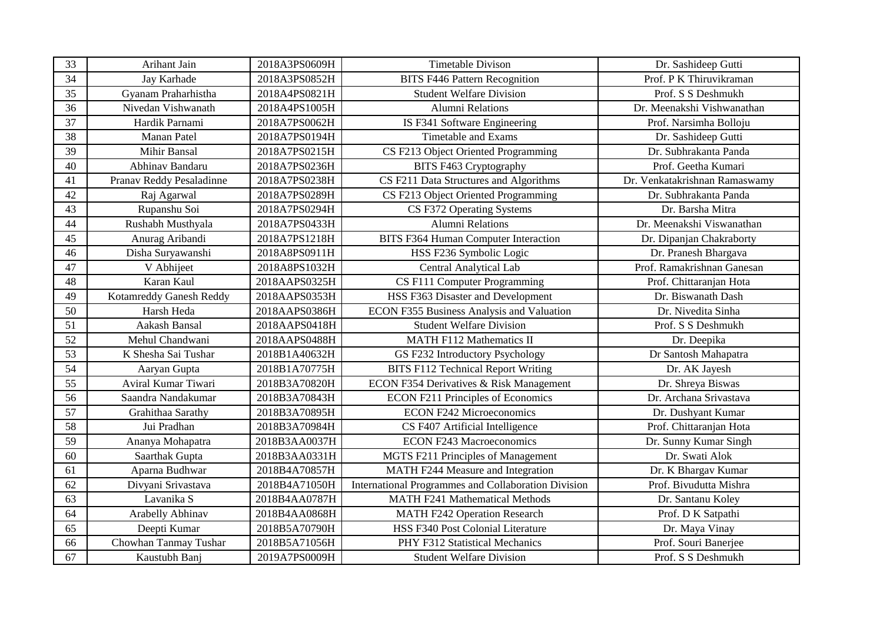| 33 | Arihant Jain             | 2018A3PS0609H | <b>Timetable Divison</b>                            | Dr. Sashideep Gutti           |
|----|--------------------------|---------------|-----------------------------------------------------|-------------------------------|
| 34 | Jay Karhade              | 2018A3PS0852H | <b>BITS F446 Pattern Recognition</b>                | Prof. P K Thiruvikraman       |
| 35 | Gyanam Praharhistha      | 2018A4PS0821H | <b>Student Welfare Division</b>                     | Prof. S S Deshmukh            |
| 36 | Nivedan Vishwanath       | 2018A4PS1005H | <b>Alumni Relations</b>                             | Dr. Meenakshi Vishwanathan    |
| 37 | Hardik Parnami           | 2018A7PS0062H | IS F341 Software Engineering                        | Prof. Narsimha Bolloju        |
| 38 | Manan Patel              | 2018A7PS0194H | <b>Timetable and Exams</b>                          | Dr. Sashideep Gutti           |
| 39 | Mihir Bansal             | 2018A7PS0215H | CS F213 Object Oriented Programming                 | Dr. Subhrakanta Panda         |
| 40 | Abhinav Bandaru          | 2018A7PS0236H | BITS F463 Cryptography                              | Prof. Geetha Kumari           |
| 41 | Pranav Reddy Pesaladinne | 2018A7PS0238H | CS F211 Data Structures and Algorithms              | Dr. Venkatakrishnan Ramaswamy |
| 42 | Raj Agarwal              | 2018A7PS0289H | CS F213 Object Oriented Programming                 | Dr. Subhrakanta Panda         |
| 43 | Rupanshu Soi             | 2018A7PS0294H | CS F372 Operating Systems                           | Dr. Barsha Mitra              |
| 44 | Rushabh Musthyala        | 2018A7PS0433H | <b>Alumni Relations</b>                             | Dr. Meenakshi Viswanathan     |
| 45 | Anurag Aribandi          | 2018A7PS1218H | <b>BITS F364 Human Computer Interaction</b>         | Dr. Dipanjan Chakraborty      |
| 46 | Disha Suryawanshi        | 2018A8PS0911H | HSS F236 Symbolic Logic                             | Dr. Pranesh Bhargava          |
| 47 | V Abhijeet               | 2018A8PS1032H | <b>Central Analytical Lab</b>                       | Prof. Ramakrishnan Ganesan    |
| 48 | Karan Kaul               | 2018AAPS0325H | CS F111 Computer Programming                        | Prof. Chittaranjan Hota       |
| 49 | Kotamreddy Ganesh Reddy  | 2018AAPS0353H | HSS F363 Disaster and Development                   | Dr. Biswanath Dash            |
| 50 | Harsh Heda               | 2018AAPS0386H | ECON F355 Business Analysis and Valuation           | Dr. Nivedita Sinha            |
| 51 | Aakash Bansal            | 2018AAPS0418H | <b>Student Welfare Division</b>                     | Prof. S S Deshmukh            |
| 52 | Mehul Chandwani          | 2018AAPS0488H | <b>MATH F112 Mathematics II</b>                     | Dr. Deepika                   |
| 53 | K Shesha Sai Tushar      | 2018B1A40632H | GS F232 Introductory Psychology                     | Dr Santosh Mahapatra          |
| 54 | Aaryan Gupta             | 2018B1A70775H | <b>BITS F112 Technical Report Writing</b>           | Dr. AK Jayesh                 |
| 55 | Aviral Kumar Tiwari      | 2018B3A70820H | ECON F354 Derivatives & Risk Management             | Dr. Shreya Biswas             |
| 56 | Saandra Nandakumar       | 2018B3A70843H | <b>ECON F211 Principles of Economics</b>            | Dr. Archana Srivastava        |
| 57 | Grahithaa Sarathy        | 2018B3A70895H | <b>ECON F242 Microeconomics</b>                     | Dr. Dushyant Kumar            |
| 58 | Jui Pradhan              | 2018B3A70984H | CS F407 Artificial Intelligence                     | Prof. Chittaranjan Hota       |
| 59 | Ananya Mohapatra         | 2018B3AA0037H | <b>ECON F243 Macroeconomics</b>                     | Dr. Sunny Kumar Singh         |
| 60 | Saarthak Gupta           | 2018B3AA0331H | MGTS F211 Principles of Management                  | Dr. Swati Alok                |
| 61 | Aparna Budhwar           | 2018B4A70857H | MATH F244 Measure and Integration                   | Dr. K Bhargav Kumar           |
| 62 | Divyani Srivastava       | 2018B4A71050H | International Programmes and Collaboration Division | Prof. Bivudutta Mishra        |
| 63 | Lavanika S               | 2018B4AA0787H | <b>MATH F241 Mathematical Methods</b>               | Dr. Santanu Koley             |
| 64 | Arabelly Abhinav         | 2018B4AA0868H | <b>MATH F242 Operation Research</b>                 | Prof. D K Satpathi            |
| 65 | Deepti Kumar             | 2018B5A70790H | HSS F340 Post Colonial Literature                   | Dr. Maya Vinay                |
| 66 | Chowhan Tanmay Tushar    | 2018B5A71056H | PHY F312 Statistical Mechanics                      | Prof. Souri Banerjee          |
| 67 | Kaustubh Banj            | 2019A7PS0009H | <b>Student Welfare Division</b>                     | Prof. S S Deshmukh            |